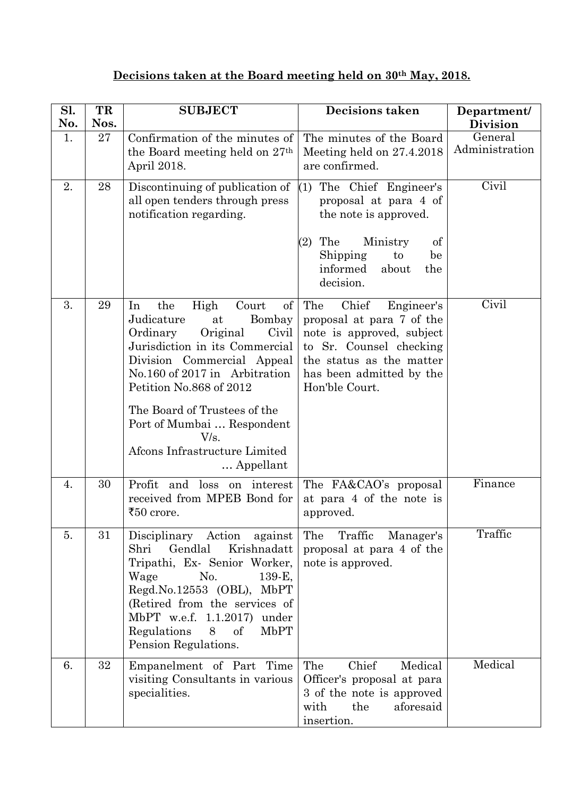## **Decisions taken at the Board meeting held on 30th May, 2018.**

| Sl.<br>No.       | TR<br>Nos. | <b>SUBJECT</b>                                                                                                                                                                                                                                                                                                                                          | <b>Decisions taken</b>                                                                                                                                                                    | Department/<br><b>Division</b> |
|------------------|------------|---------------------------------------------------------------------------------------------------------------------------------------------------------------------------------------------------------------------------------------------------------------------------------------------------------------------------------------------------------|-------------------------------------------------------------------------------------------------------------------------------------------------------------------------------------------|--------------------------------|
| 1.               | 27         | Confirmation of the minutes of<br>the Board meeting held on 27 <sup>th</sup><br>April 2018.                                                                                                                                                                                                                                                             | The minutes of the Board<br>Meeting held on 27.4.2018<br>are confirmed.                                                                                                                   | General<br>Administration      |
| 2.               | 28         | Discontinuing of publication of<br>all open tenders through press<br>notification regarding.                                                                                                                                                                                                                                                            | The Chief Engineer's<br>(1)<br>proposal at para 4 of<br>the note is approved.<br>The<br>Ministry<br>of<br>(2)<br>Shipping<br>be<br>to<br>informed<br>about<br>the<br>decision.            | Civil                          |
| 3.               | 29         | the<br>Court<br>In<br>High<br>$\sigma f$<br>Bombay<br>Judicature<br>at<br>Original<br>Civil<br>Ordinary<br>Jurisdiction in its Commercial<br>Division Commercial Appeal<br>No.160 of 2017 in Arbitration<br>Petition No.868 of 2012<br>The Board of Trustees of the<br>Port of Mumbai  Respondent<br>V/s.<br>Afcons Infrastructure Limited<br>Appellant | Chief<br>The<br>Engineer's<br>proposal at para 7 of the<br>note is approved, subject<br>to Sr. Counsel checking<br>the status as the matter<br>has been admitted by the<br>Hon'ble Court. | Civil                          |
| $\overline{4}$ . | 30         | Profit<br>and<br>$\log$<br>on interest<br>received from MPEB Bond for<br>₹50 crore.                                                                                                                                                                                                                                                                     | The FA&CAO's proposal<br>at para 4 of the note is<br>approved.                                                                                                                            | Finance                        |
| 5.               | 31         | Disciplinary Action<br>against<br>Gendlal<br>Krishnadatt<br>Shri<br>Tripathi, Ex- Senior Worker,<br>Wage<br>No.<br>139-E,<br>Regd.No.12553 (OBL), MbPT<br>(Retired from the services of<br>MbPT w.e.f. 1.1.2017)<br>under<br>Regulations<br>8 of<br><b>MbPT</b><br>Pension Regulations.                                                                 | The<br>Traffic<br>Manager's<br>proposal at para 4 of the<br>note is approved.                                                                                                             | Traffic                        |
| 6.               | 32         | Empanelment of Part Time<br>visiting Consultants in various<br>specialities.                                                                                                                                                                                                                                                                            | The<br>Chief<br>Medical<br>Officer's proposal at para<br>3 of the note is approved<br>the<br>aforesaid<br>with<br>insertion.                                                              | Medical                        |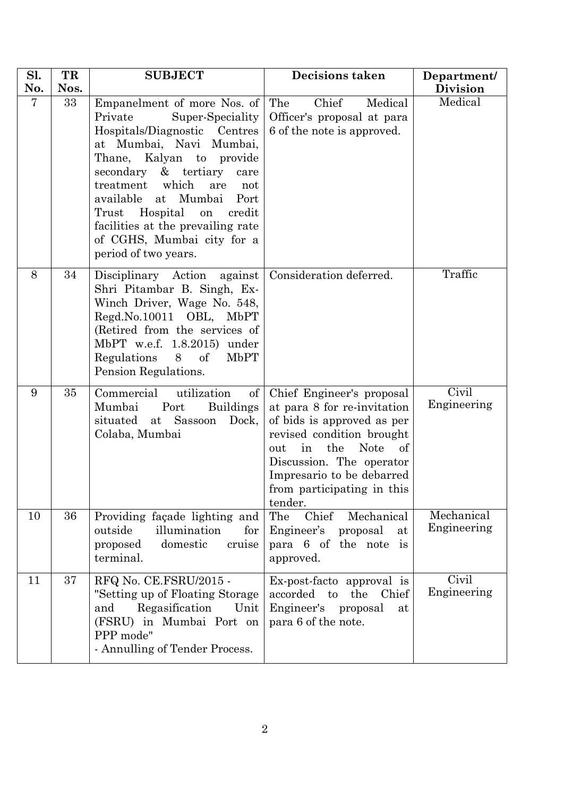| Sl. | TR   | <b>SUBJECT</b>                                                                                                                                                                                                                                                                                                                                                                       | <b>Decisions taken</b>                                                                                                                                                                                                                                         | Department/               |
|-----|------|--------------------------------------------------------------------------------------------------------------------------------------------------------------------------------------------------------------------------------------------------------------------------------------------------------------------------------------------------------------------------------------|----------------------------------------------------------------------------------------------------------------------------------------------------------------------------------------------------------------------------------------------------------------|---------------------------|
| No. | Nos. |                                                                                                                                                                                                                                                                                                                                                                                      |                                                                                                                                                                                                                                                                | <b>Division</b>           |
| 7   | 33   | Empanelment of more Nos. of<br>Private<br>Super-Speciality<br>Hospitals/Diagnostic Centres<br>at Mumbai, Navi Mumbai,<br>Thane, Kalyan to provide<br>secondary<br>& tertiary<br>care<br>treatment which<br>are<br>not<br>available at<br>Mumbai Port<br>Trust<br>Hospital<br>credit<br>on<br>facilities at the prevailing rate<br>of CGHS, Mumbai city for a<br>period of two years. | Chief<br>The<br>Medical<br>Officer's proposal at para<br>6 of the note is approved.                                                                                                                                                                            | Medical                   |
| 8   | 34   | Disciplinary Action<br>against<br>Shri Pitambar B. Singh, Ex-<br>Winch Driver, Wage No. 548,<br>Regd.No.10011 OBL, MbPT<br>(Retired from the services of<br>MbPT w.e.f. 1.8.2015) under<br>Regulations<br>$\sigma f$<br>MbPT<br>8<br>Pension Regulations.                                                                                                                            | Consideration deferred.                                                                                                                                                                                                                                        | Traffic                   |
| 9   | 35   | Commercial<br>utilization<br>of<br>Mumbai<br>Port<br><b>Buildings</b><br>situated<br>at Sassoon<br>Dock,<br>Colaba, Mumbai                                                                                                                                                                                                                                                           | Chief Engineer's proposal<br>at para 8 for re-invitation<br>of bids is approved as per<br>revised condition brought<br>the<br><b>Note</b><br>in<br>out<br>οf<br>Discussion. The operator<br>Impresario to be debarred<br>from participating in this<br>tender. | Civil<br>Engineering      |
| 10  | 36   | Providing façade lighting and<br>illumination<br>outside<br>for<br>domestic<br>cruise<br>proposed<br>terminal.                                                                                                                                                                                                                                                                       | Mechanical<br>The<br>Chief<br>Engineer's proposal<br>at<br>para 6 of the note is<br>approved.                                                                                                                                                                  | Mechanical<br>Engineering |
| 11  | 37   | RFQ No. CE.FSRU/2015 -<br>"Setting up of Floating Storage"<br>Regasification<br>and<br>Unit<br>(FSRU) in Mumbai Port on<br>PPP mode"<br>- Annulling of Tender Process.                                                                                                                                                                                                               | Ex-post-facto approval is<br>Chief<br>accorded to<br>the<br>Engineer's<br>proposal<br>at<br>para 6 of the note.                                                                                                                                                | Civil<br>Engineering      |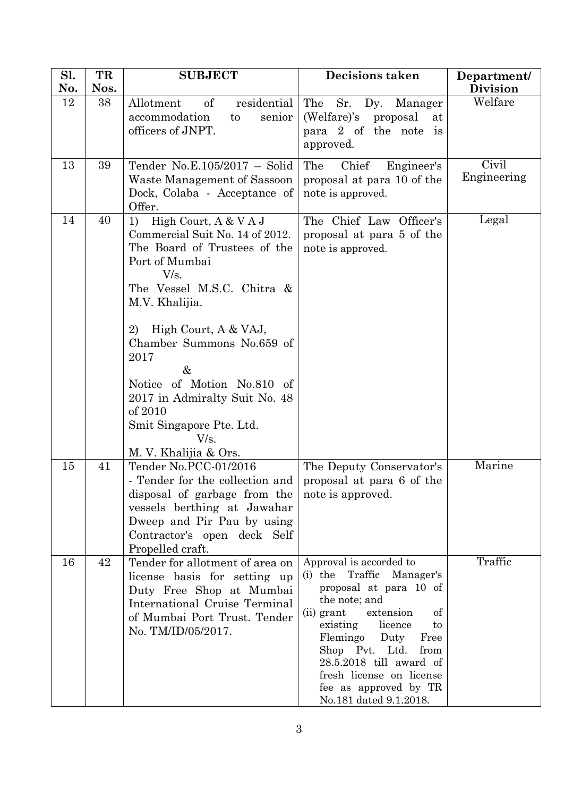| Sl.<br>No. | TR<br>Nos. | <b>SUBJECT</b>                                                  | <b>Decisions taken</b>                                | Department/<br><b>Division</b> |
|------------|------------|-----------------------------------------------------------------|-------------------------------------------------------|--------------------------------|
| 12         | 38         | <sub>of</sub><br>residential<br>Allotment                       | The<br>Sr.<br>Dy. Manager                             | Welfare                        |
|            |            | accommodation<br>senior<br>to                                   | (Welfare)'s<br>proposal<br>at                         |                                |
|            |            | officers of JNPT.                                               | para 2 of the note is<br>approved.                    |                                |
|            |            |                                                                 |                                                       |                                |
| 13         | 39         | Tender No.E.105/2017 - Solid                                    | Chief<br>The<br>Engineer's                            | Civil<br>Engineering           |
|            |            | Waste Management of Sassoon<br>Dock, Colaba - Acceptance of     | proposal at para 10 of the<br>note is approved.       |                                |
|            |            | Offer.                                                          |                                                       |                                |
| 14         | 40         | High Court, A & V A J<br>1)                                     | The Chief Law Officer's                               | Legal                          |
|            |            | Commercial Suit No. 14 of 2012.<br>The Board of Trustees of the | proposal at para 5 of the<br>note is approved.        |                                |
|            |            | Port of Mumbai                                                  |                                                       |                                |
|            |            | V/s.                                                            |                                                       |                                |
|            |            | The Vessel M.S.C. Chitra &<br>M.V. Khalijia.                    |                                                       |                                |
|            |            | High Court, A & VAJ,<br>2)                                      |                                                       |                                |
|            |            | Chamber Summons No.659 of                                       |                                                       |                                |
|            |            | 2017                                                            |                                                       |                                |
|            |            | &<br>Notice of Motion No.810 of                                 |                                                       |                                |
|            |            | 2017 in Admiralty Suit No. 48                                   |                                                       |                                |
|            |            | of 2010                                                         |                                                       |                                |
|            |            | Smit Singapore Pte. Ltd.<br>V/s.                                |                                                       |                                |
|            |            | M. V. Khalijia & Ors.                                           |                                                       |                                |
| 15         | 41         | Tender No.PCC-01/2016                                           | The Deputy Conservator's                              | Marine                         |
|            |            | - Tender for the collection and<br>disposal of garbage from the | proposal at para 6 of the<br>note is approved.        |                                |
|            |            | vessels berthing at Jawahar                                     |                                                       |                                |
|            |            | Dweep and Pir Pau by using                                      |                                                       |                                |
|            |            | Contractor's open deck Self<br>Propelled craft.                 |                                                       |                                |
| 16         | 42         | Tender for allotment of area on                                 | Approval is accorded to                               | Traffic                        |
|            |            | license basis for setting up                                    | (i) the Traffic<br>Manager's                          |                                |
|            |            | Duty Free Shop at Mumbai<br>International Cruise Terminal       | proposal at para 10 of<br>the note; and               |                                |
|            |            | of Mumbai Port Trust. Tender                                    | extension<br>(ii) grant<br>οf                         |                                |
|            |            | No. TM/ID/05/2017.                                              | existing<br>licence<br>to<br>Flemingo Duty<br>Free    |                                |
|            |            |                                                                 | Shop Pvt. Ltd.<br>from                                |                                |
|            |            |                                                                 | $28.5.2018$ till award of<br>fresh license on license |                                |
|            |            |                                                                 | fee as approved by TR                                 |                                |
|            |            |                                                                 | No.181 dated 9.1.2018.                                |                                |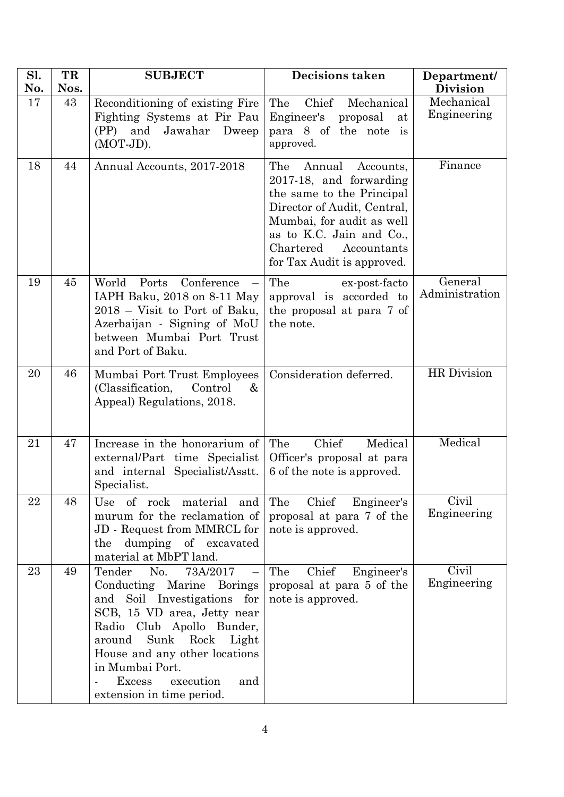| Sl.       | TR         | <b>SUBJECT</b>                                                                                                                                                                                                                                                                                          | <b>Decisions taken</b>                                                                                                                                                                                                               | Department/                   |
|-----------|------------|---------------------------------------------------------------------------------------------------------------------------------------------------------------------------------------------------------------------------------------------------------------------------------------------------------|--------------------------------------------------------------------------------------------------------------------------------------------------------------------------------------------------------------------------------------|-------------------------------|
| No.<br>17 | Nos.<br>43 |                                                                                                                                                                                                                                                                                                         | Chief<br>The<br>Mechanical                                                                                                                                                                                                           | <b>Division</b><br>Mechanical |
|           |            | Reconditioning of existing Fire<br>Fighting Systems at Pir Pau<br>and Jawahar<br>(PP)<br>Dweep<br>(MOT-JD).                                                                                                                                                                                             | Engineer's<br>proposal<br>at<br>para 8 of the note is<br>approved.                                                                                                                                                                   | Engineering                   |
| 18        | 44         | Annual Accounts, 2017-2018                                                                                                                                                                                                                                                                              | Annual<br>The<br>Accounts,<br>2017-18, and forwarding<br>the same to the Principal<br>Director of Audit, Central,<br>Mumbai, for audit as well<br>as to K.C. Jain and Co.,<br>Chartered<br>Accountants<br>for Tax Audit is approved. | Finance                       |
| 19        | 45         | Conference<br>World<br>Ports<br>$\overline{\phantom{0}}$<br>IAPH Baku, 2018 on 8-11 May<br>2018 - Visit to Port of Baku,<br>Azerbaijan - Signing of MoU<br>between Mumbai Port Trust<br>and Port of Baku.                                                                                               | The<br>ex-post-facto<br>approval is accorded to<br>the proposal at para 7 of<br>the note.                                                                                                                                            | General<br>Administration     |
| 20        | 46         | Mumbai Port Trust Employees<br>(Classification,<br>Control<br>&<br>Appeal) Regulations, 2018.                                                                                                                                                                                                           | Consideration deferred.                                                                                                                                                                                                              | <b>HR</b> Division            |
| 21        | 47         | Increase in the honorarium of<br>external/Part time Specialist<br>and internal Specialist/Asstt.<br>Specialist.                                                                                                                                                                                         | Chief<br>The<br>Medical<br>Officer's proposal at para<br>6 of the note is approved.                                                                                                                                                  | Medical                       |
| 22        | 48         | Use of rock material<br>and<br>murum for the reclamation of<br>JD - Request from MMRCL for<br>the dumping of excavated<br>material at MbPT land.                                                                                                                                                        | The<br>Chief<br>Engineer's<br>proposal at para 7 of the<br>note is approved.                                                                                                                                                         | Civil<br>Engineering          |
| 23        | 49         | Tender<br>No.<br>73A/2017<br>Conducting Marine Borings<br>and Soil Investigations for<br>SCB, 15 VD area, Jetty near<br>Radio Club Apollo Bunder,<br>Sunk Rock<br>Light<br>around<br>House and any other locations<br>in Mumbai Port.<br>execution<br><b>Excess</b><br>and<br>extension in time period. | The<br>Chief<br>Engineer's<br>proposal at para 5 of the<br>note is approved.                                                                                                                                                         | Civil<br>Engineering          |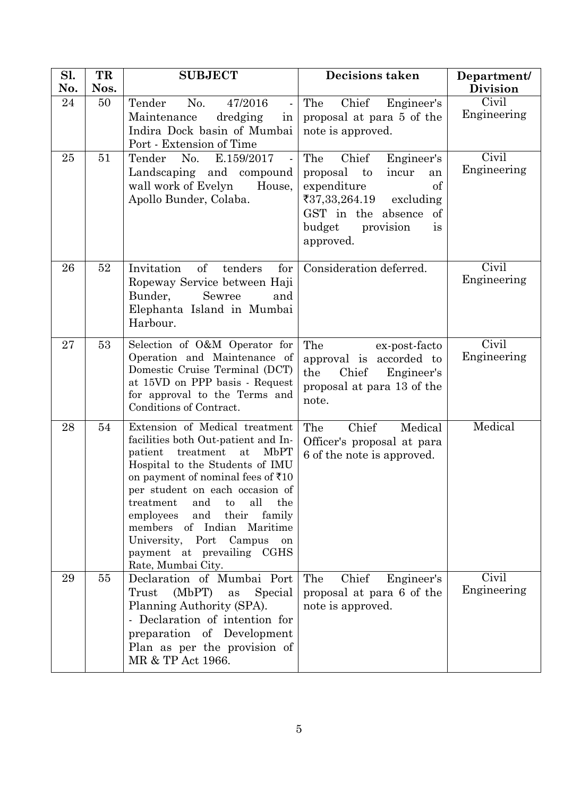| Sl.<br>No. | TR<br>Nos. | <b>SUBJECT</b>                                                                                                                                                                                                                                                                                                                                                                                                       | <b>Decisions taken</b>                                                                                                                                                         | Department/<br><b>Division</b> |
|------------|------------|----------------------------------------------------------------------------------------------------------------------------------------------------------------------------------------------------------------------------------------------------------------------------------------------------------------------------------------------------------------------------------------------------------------------|--------------------------------------------------------------------------------------------------------------------------------------------------------------------------------|--------------------------------|
| 24         | 50         | Tender<br>No.<br>47/2016<br>$\blacksquare$<br>dredging<br>Maintenance<br>in<br>Indira Dock basin of Mumbai<br>Port - Extension of Time                                                                                                                                                                                                                                                                               | Chief<br>The<br>Engineer's<br>proposal at para 5 of the<br>note is approved.                                                                                                   | Civil<br>Engineering           |
| 25         | 51         | Tender<br>No.<br>E.159/2017<br>$\sim$<br>Landscaping and compound<br>wall work of Evelyn<br>House,<br>Apollo Bunder, Colaba.                                                                                                                                                                                                                                                                                         | Chief<br>The<br>Engineer's<br>proposal to<br>incur<br>an<br>of<br>expenditure<br>₹37,33,264.19<br>excluding<br>GST in the absence of<br>budget<br>provision<br>is<br>approved. | Civil<br>Engineering           |
| 26         | $52\,$     | of<br>Invitation<br>tenders<br>for<br>Ropeway Service between Haji<br>Bunder,<br>Sewree<br>and<br>Elephanta Island in Mumbai<br>Harbour.                                                                                                                                                                                                                                                                             | Consideration deferred.                                                                                                                                                        | Civil<br>Engineering           |
| 27         | 53         | Selection of O&M Operator for<br>Operation and Maintenance of<br>Domestic Cruise Terminal (DCT)<br>at 15VD on PPP basis - Request<br>for approval to the Terms and<br>Conditions of Contract.                                                                                                                                                                                                                        | The<br>ex-post-facto<br>approval is accorded to<br>the<br>Chief<br>Engineer's<br>proposal at para 13 of the<br>note.                                                           | Civil<br>Engineering           |
| 28         | 54         | Extension of Medical treatment<br>facilities both Out-patient and In-<br>treatment<br>at<br>MbPT<br>patient<br>Hospital to the Students of IMU<br>on payment of nominal fees of $\bar{x}10$<br>per student on each occasion of<br>all the<br>and to<br>treatment<br>employees<br>and their family<br>members of Indian Maritime<br>University, Port Campus<br>on<br>payment at prevailing CGHS<br>Rate, Mumbai City. | Chief<br>Medical<br>The<br>Officer's proposal at para<br>6 of the note is approved.                                                                                            | Medical                        |
| 29         | 55         | Declaration of Mumbai Port<br>(MbPT) as Special<br>Trust<br>Planning Authority (SPA).<br>- Declaration of intention for<br>preparation of Development<br>Plan as per the provision of<br>MR & TP Act 1966.                                                                                                                                                                                                           | The<br>Chief<br>Engineer's<br>proposal at para 6 of the<br>note is approved.                                                                                                   | Civil<br>Engineering           |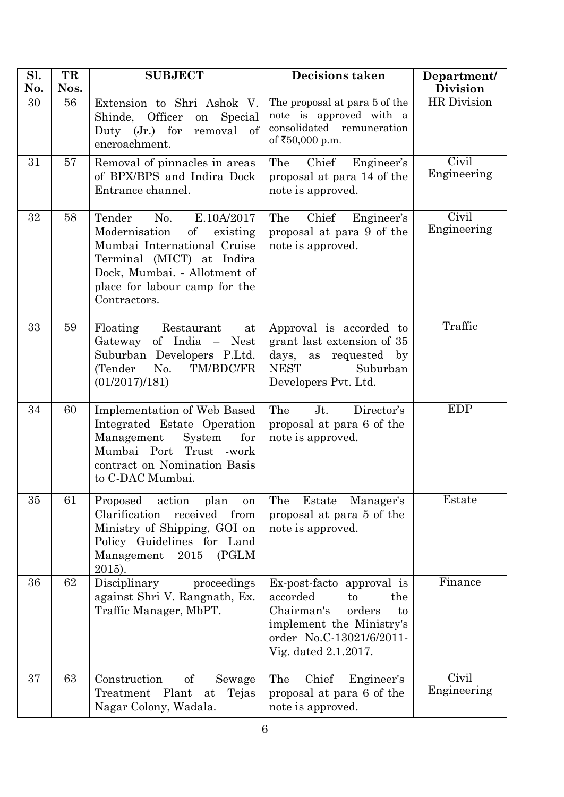| Sl.<br>No. | TR<br>Nos. | <b>SUBJECT</b>                                                                                                                                                                                              | <b>Decisions taken</b>                                                                                                                                           | Department/<br><b>Division</b> |
|------------|------------|-------------------------------------------------------------------------------------------------------------------------------------------------------------------------------------------------------------|------------------------------------------------------------------------------------------------------------------------------------------------------------------|--------------------------------|
| 30         | 56         | Extension to Shri Ashok V.<br>Shinde, Officer<br>Special<br>on<br>Duty $(Jr.)$ for<br>removal<br>of<br>encroachment.                                                                                        | The proposal at para 5 of the<br>note is approved with a<br>consolidated remuneration<br>of ₹50,000 p.m.                                                         | <b>HR</b> Division             |
| 31         | 57         | Removal of pinnacles in areas<br>of BPX/BPS and Indira Dock<br>Entrance channel.                                                                                                                            | The<br>Chief<br>Engineer's<br>proposal at para 14 of the<br>note is approved.                                                                                    | Civil<br>Engineering           |
| 32         | 58         | No.<br>Tender<br>E.10A/2017<br>Modernisation<br>of<br>existing<br>Mumbai International Cruise<br>Terminal (MICT) at Indira<br>Dock, Mumbai. - Allotment of<br>place for labour camp for the<br>Contractors. | Chief<br>The<br>Engineer's<br>proposal at para 9 of the<br>note is approved.                                                                                     | <b>Civil</b><br>Engineering    |
| 33         | 59         | Floating<br>Restaurant<br>at<br>Gateway of India - Nest<br>Suburban Developers P.Ltd.<br>(Tender<br>No.<br>TM/BDC/FR<br>(01/2017)/181)                                                                      | Approval is accorded to<br>grant last extension of 35<br>days, as<br>requested by<br><b>NEST</b><br>Suburban<br>Developers Pvt. Ltd.                             | Traffic                        |
| 34         | 60         | Implementation of Web Based<br>Integrated Estate Operation<br>Management<br>System<br>for<br>Mumbai Port<br>Trust<br>-work<br>contract on Nomination Basis<br>to C-DAC Mumbai.                              | $Jt$ .<br>The<br>Director's<br>proposal at para 6 of the<br>note is approved.                                                                                    | EDP                            |
| 35         | 61         | Proposed<br>action<br>plan<br>on<br>Clarification<br>received<br>from<br>Ministry of Shipping, GOI on<br>Policy Guidelines for Land<br>2015<br>Management<br>(PGLM)<br>2015).                               | The<br>Estate Manager's<br>proposal at para 5 of the<br>note is approved.                                                                                        | Estate                         |
| 36         | 62         | Disciplinary<br>proceedings<br>against Shri V. Rangnath, Ex.<br>Traffic Manager, MbPT.                                                                                                                      | Ex-post-facto approval is<br>accorded<br>to<br>the<br>Chairman's<br>orders<br>to<br>implement the Ministry's<br>order No.C-13021/6/2011-<br>Vig. dated 2.1.2017. | Finance                        |
| 37         | 63         | <sub>of</sub><br>Construction<br>Sewage<br>Treatment Plant<br>Tejas<br>at<br>Nagar Colony, Wadala.                                                                                                          | The<br>Chief<br>Engineer's<br>proposal at para 6 of the<br>note is approved.                                                                                     | Civil<br>Engineering           |